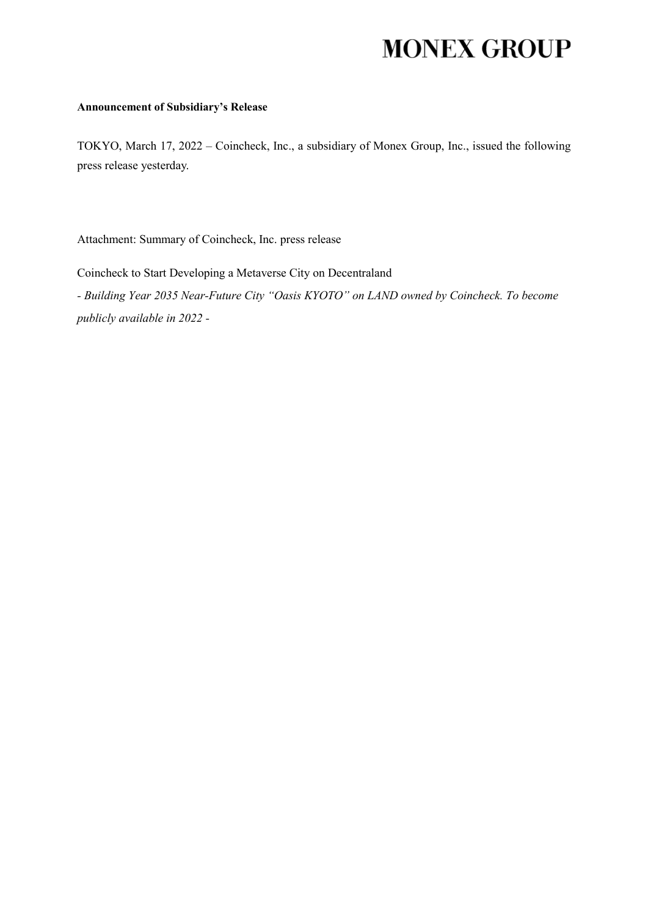## **MONEX GROUP**

## **Announcement of Subsidiary's Release**

TOKYO, March 17, 2022 – Coincheck, Inc., a subsidiary of Monex Group, Inc., issued the following press release yesterday.

Attachment: Summary of Coincheck, Inc. press release

Coincheck to Start Developing a Metaverse City on Decentraland

*- Building Year 2035 Near-Future City "Oasis KYOTO" on LAND owned by Coincheck. To become publicly available in 2022 -*